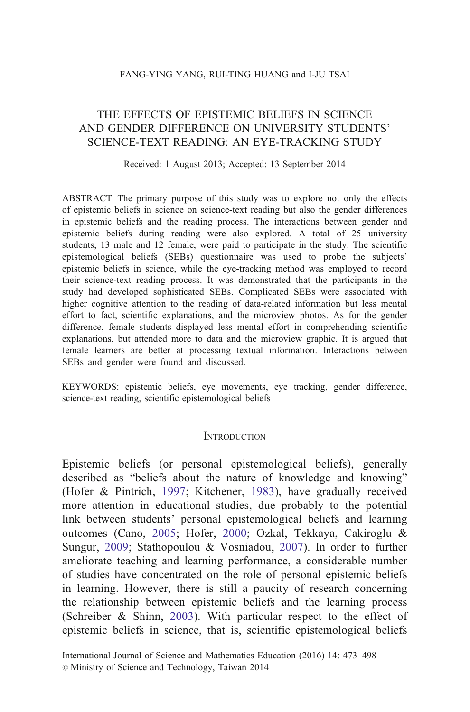# THE EFFECTS OF EPISTEMIC BELIEFS IN SCIENCE AND GENDER DIFFERENCE ON UNIVERSITY STUDENTS' SCIENCE-TEXT READING: AN EYE-TRACKING STUDY

### Received: 1 August 2013; Accepted: 13 September 2014

ABSTRACT. The primary purpose of this study was to explore not only the effects of epistemic beliefs in science on science-text reading but also the gender differences in epistemic beliefs and the reading process. The interactions between gender and epistemic beliefs during reading were also explored. A total of 25 university students, 13 male and 12 female, were paid to participate in the study. The scientific epistemological beliefs (SEBs) questionnaire was used to probe the subjects' epistemic beliefs in science, while the eye-tracking method was employed to record their science-text reading process. It was demonstrated that the participants in the study had developed sophisticated SEBs. Complicated SEBs were associated with higher cognitive attention to the reading of data-related information but less mental effort to fact, scientific explanations, and the microview photos. As for the gender difference, female students displayed less mental effort in comprehending scientific explanations, but attended more to data and the microview graphic. It is argued that female learners are better at processing textual information. Interactions between SEBs and gender were found and discussed.

KEYWORDS: epistemic beliefs, eye movements, eye tracking, gender difference, science-text reading, scientific epistemological beliefs

## **INTRODUCTION**

Epistemic beliefs (or personal epistemological beliefs), generally described as "beliefs about the nature of knowledge and knowing" (Hofer & Pintrich, [1997;](#page-23-0) Kitchener, [1983\)](#page-23-0), have gradually received more attention in educational studies, due probably to the potential link between students' personal epistemological beliefs and learning outcomes (Cano, [2005;](#page-22-0) Hofer, [2000;](#page-23-0) Ozkal, Tekkaya, Cakiroglu & Sungur, [2009](#page-24-0); Stathopoulou & Vosniadou, [2007\)](#page-25-0). In order to further ameliorate teaching and learning performance, a considerable number of studies have concentrated on the role of personal epistemic beliefs in learning. However, there is still a paucity of research concerning the relationship between epistemic beliefs and the learning process (Schreiber & Shinn, [2003](#page-24-0)). With particular respect to the effect of epistemic beliefs in science, that is, scientific epistemological beliefs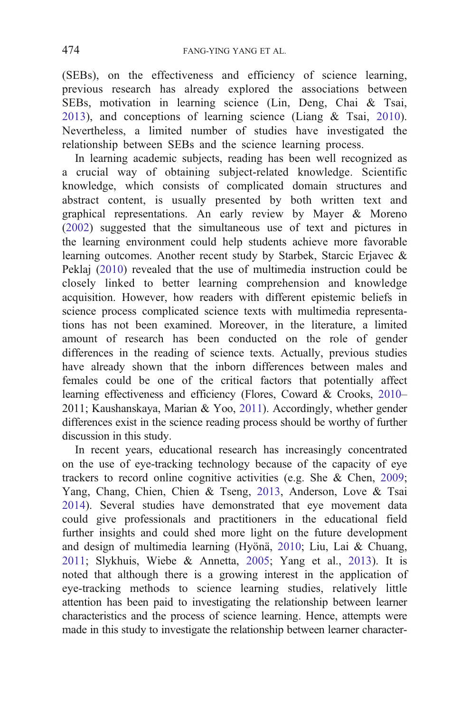(SEBs), on the effectiveness and efficiency of science learning, previous research has already explored the associations between SEBs, motivation in learning science (Lin, Deng, Chai & Tsai, [2013](#page-23-0)), and conceptions of learning science (Liang  $\&$  Tsai, [2010\)](#page-23-0). Nevertheless, a limited number of studies have investigated the relationship between SEBs and the science learning process.

In learning academic subjects, reading has been well recognized as a crucial way of obtaining subject-related knowledge. Scientific knowledge, which consists of complicated domain structures and abstract content, is usually presented by both written text and graphical representations. An early review by Mayer & Moreno ([2002\)](#page-24-0) suggested that the simultaneous use of text and pictures in the learning environment could help students achieve more favorable learning outcomes. Another recent study by Starbek, Starcic Erjavec & Peklaj [\(2010](#page-25-0)) revealed that the use of multimedia instruction could be closely linked to better learning comprehension and knowledge acquisition. However, how readers with different epistemic beliefs in science process complicated science texts with multimedia representations has not been examined. Moreover, in the literature, a limited amount of research has been conducted on the role of gender differences in the reading of science texts. Actually, previous studies have already shown that the inborn differences between males and females could be one of the critical factors that potentially affect learning effectiveness and efficiency (Flores, Coward & Crooks, [2010](#page-23-0)– 2011; Kaushanskaya, Marian & Yoo, [2011](#page-23-0)). Accordingly, whether gender differences exist in the science reading process should be worthy of further discussion in this study.

In recent years, educational research has increasingly concentrated on the use of eye-tracking technology because of the capacity of eye trackers to record online cognitive activities (e.g. She & Chen, [2009;](#page-24-0) Yang, Chang, Chien, Chien & Tseng, [2013](#page-25-0), Anderson, Love & Tsai [2014](#page-22-0)). Several studies have demonstrated that eye movement data could give professionals and practitioners in the educational field further insights and could shed more light on the future development and design of multimedia learning (Hyönä, [2010;](#page-23-0) Liu, Lai & Chuang, [2011](#page-23-0); Slykhuis, Wiebe & Annetta, [2005](#page-24-0); Yang et al., [2013\)](#page-25-0). It is noted that although there is a growing interest in the application of eye-tracking methods to science learning studies, relatively little attention has been paid to investigating the relationship between learner characteristics and the process of science learning. Hence, attempts were made in this study to investigate the relationship between learner character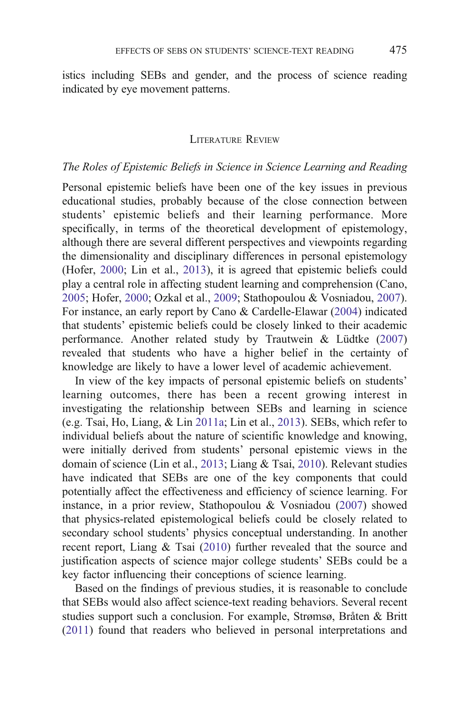istics including SEBs and gender, and the process of science reading indicated by eye movement patterns.

# LITERATURE REVIEW

# The Roles of Epistemic Beliefs in Science in Science Learning and Reading

Personal epistemic beliefs have been one of the key issues in previous educational studies, probably because of the close connection between students' epistemic beliefs and their learning performance. More specifically, in terms of the theoretical development of epistemology, although there are several different perspectives and viewpoints regarding the dimensionality and disciplinary differences in personal epistemology (Hofer, [2000;](#page-23-0) Lin et al., [2013](#page-23-0)), it is agreed that epistemic beliefs could play a central role in affecting student learning and comprehension (Cano, [2005](#page-22-0); Hofer, [2000;](#page-23-0) Ozkal et al., [2009;](#page-24-0) Stathopoulou & Vosniadou, [2007\)](#page-25-0). For instance, an early report by Cano & Cardelle-Elawar ([2004\)](#page-22-0) indicated that students' epistemic beliefs could be closely linked to their academic performance. Another related study by Trautwein & Lüdtke [\(2007](#page-25-0)) revealed that students who have a higher belief in the certainty of knowledge are likely to have a lower level of academic achievement.

In view of the key impacts of personal epistemic beliefs on students' learning outcomes, there has been a recent growing interest in investigating the relationship between SEBs and learning in science (e.g. Tsai, Ho, Liang, & Lin [2011a;](#page-25-0) Lin et al., [2013](#page-23-0)). SEBs, which refer to individual beliefs about the nature of scientific knowledge and knowing, were initially derived from students' personal epistemic views in the domain of science (Lin et al., [2013;](#page-23-0) Liang & Tsai, [2010](#page-23-0)). Relevant studies have indicated that SEBs are one of the key components that could potentially affect the effectiveness and efficiency of science learning. For instance, in a prior review, Stathopoulou & Vosniadou [\(2007](#page-25-0)) showed that physics-related epistemological beliefs could be closely related to secondary school students' physics conceptual understanding. In another recent report, Liang & Tsai [\(2010](#page-23-0)) further revealed that the source and justification aspects of science major college students' SEBs could be a key factor influencing their conceptions of science learning.

Based on the findings of previous studies, it is reasonable to conclude that SEBs would also affect science-text reading behaviors. Several recent studies support such a conclusion. For example, Strømsø, Bråten & Britt ([2011\)](#page-25-0) found that readers who believed in personal interpretations and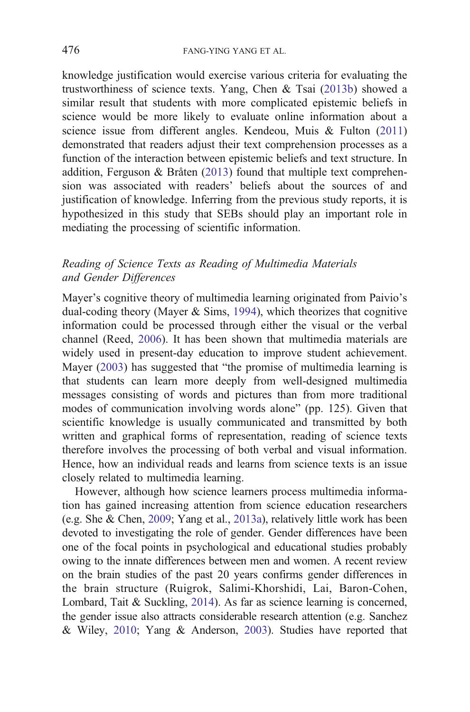knowledge justification would exercise various criteria for evaluating the trustworthiness of science texts. Yang, Chen & Tsai [\(2013b\)](#page-25-0) showed a similar result that students with more complicated epistemic beliefs in science would be more likely to evaluate online information about a science issue from different angles. Kendeou, Muis & Fulton [\(2011](#page-23-0)) demonstrated that readers adjust their text comprehension processes as a function of the interaction between epistemic beliefs and text structure. In addition, Ferguson & Bråten ([2013\)](#page-23-0) found that multiple text comprehension was associated with readers' beliefs about the sources of and justification of knowledge. Inferring from the previous study reports, it is hypothesized in this study that SEBs should play an important role in mediating the processing of scientific information.

# Reading of Science Texts as Reading of Multimedia Materials and Gender Differences

Mayer's cognitive theory of multimedia learning originated from Paivio's dual-coding theory (Mayer & Sims, [1994\)](#page-24-0), which theorizes that cognitive information could be processed through either the visual or the verbal channel (Reed, [2006](#page-24-0)). It has been shown that multimedia materials are widely used in present-day education to improve student achievement. Mayer ([2003\)](#page-24-0) has suggested that "the promise of multimedia learning is that students can learn more deeply from well-designed multimedia messages consisting of words and pictures than from more traditional modes of communication involving words alone" (pp. 125). Given that scientific knowledge is usually communicated and transmitted by both written and graphical forms of representation, reading of science texts therefore involves the processing of both verbal and visual information. Hence, how an individual reads and learns from science texts is an issue closely related to multimedia learning.

However, although how science learners process multimedia information has gained increasing attention from science education researchers (e.g. She & Chen, [2009](#page-24-0); Yang et al., [2013a\)](#page-25-0), relatively little work has been devoted to investigating the role of gender. Gender differences have been one of the focal points in psychological and educational studies probably owing to the innate differences between men and women. A recent review on the brain studies of the past 20 years confirms gender differences in the brain structure (Ruigrok, Salimi-Khorshidi, Lai, Baron-Cohen, Lombard, Tait & Suckling, [2014](#page-24-0)). As far as science learning is concerned, the gender issue also attracts considerable research attention (e.g. Sanchez & Wiley, [2010;](#page-24-0) Yang & Anderson, [2003](#page-25-0)). Studies have reported that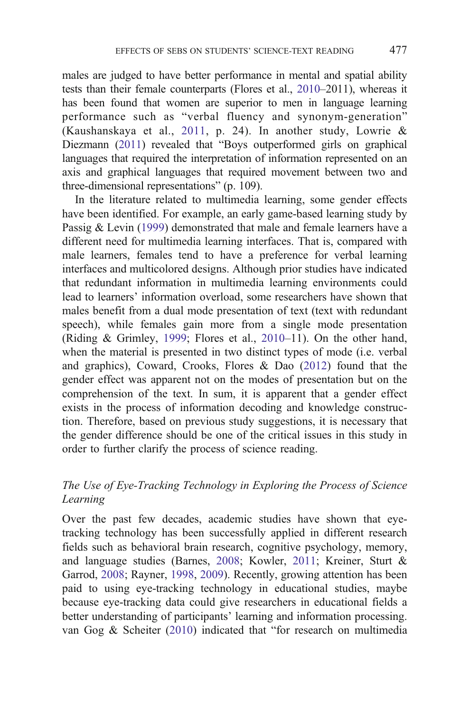males are judged to have better performance in mental and spatial ability tests than their female counterparts (Flores et al., [2010](#page-23-0)–2011), whereas it has been found that women are superior to men in language learning performance such as "verbal fluency and synonym-generation" (Kaushanskaya et al., [2011,](#page-23-0) p. 24). In another study, Lowrie & Diezmann [\(2011\)](#page-23-0) revealed that "Boys outperformed girls on graphical languages that required the interpretation of information represented on an axis and graphical languages that required movement between two and three-dimensional representations" (p. 109).

In the literature related to multimedia learning, some gender effects have been identified. For example, an early game-based learning study by Passig & Levin ([1999\)](#page-24-0) demonstrated that male and female learners have a different need for multimedia learning interfaces. That is, compared with male learners, females tend to have a preference for verbal learning interfaces and multicolored designs. Although prior studies have indicated that redundant information in multimedia learning environments could lead to learners' information overload, some researchers have shown that males benefit from a dual mode presentation of text (text with redundant speech), while females gain more from a single mode presentation (Riding & Grimley, [1999;](#page-24-0) Flores et al., [2010](#page-23-0)–11). On the other hand, when the material is presented in two distinct types of mode (i.e. verbal and graphics), Coward, Crooks, Flores & Dao [\(2012\)](#page-22-0) found that the gender effect was apparent not on the modes of presentation but on the comprehension of the text. In sum, it is apparent that a gender effect exists in the process of information decoding and knowledge construction. Therefore, based on previous study suggestions, it is necessary that the gender difference should be one of the critical issues in this study in order to further clarify the process of science reading.

# The Use of Eye-Tracking Technology in Exploring the Process of Science Learning

Over the past few decades, academic studies have shown that eyetracking technology has been successfully applied in different research fields such as behavioral brain research, cognitive psychology, memory, and language studies (Barnes, [2008](#page-22-0); Kowler, [2011;](#page-23-0) Kreiner, Sturt & Garrod, [2008](#page-23-0); Rayner, [1998](#page-24-0), [2009](#page-24-0)). Recently, growing attention has been paid to using eye-tracking technology in educational studies, maybe because eye-tracking data could give researchers in educational fields a better understanding of participants' learning and information processing. van Gog & Scheiter [\(2010](#page-25-0)) indicated that "for research on multimedia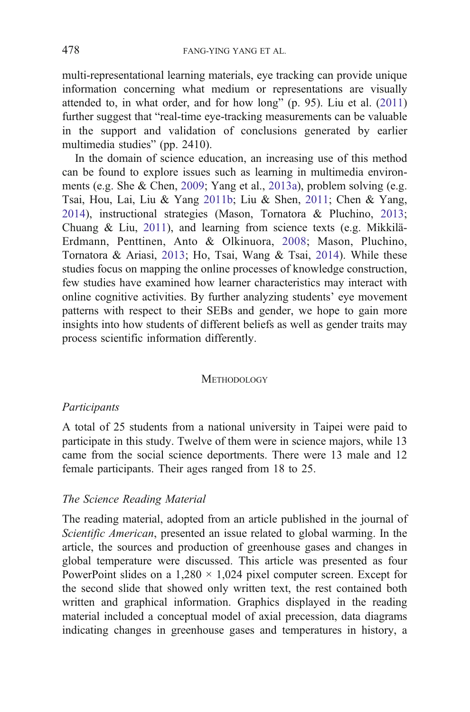multi-representational learning materials, eye tracking can provide unique information concerning what medium or representations are visually attended to, in what order, and for how long" (p. 95). Liu et al. [\(2011](#page-23-0)) further suggest that "real-time eye-tracking measurements can be valuable in the support and validation of conclusions generated by earlier multimedia studies" (pp. 2410).

In the domain of science education, an increasing use of this method can be found to explore issues such as learning in multimedia environments (e.g. She & Chen, [2009](#page-24-0); Yang et al., [2013a\)](#page-25-0), problem solving (e.g. Tsai, Hou, Lai, Liu & Yang [2011b;](#page-25-0) Liu & Shen, [2011;](#page-23-0) Chen & Yang, [2014\)](#page-22-0), instructional strategies (Mason, Tornatora & Pluchino, [2013;](#page-24-0) Chuang & Liu, [2011](#page-22-0)), and learning from science texts (e.g. Mikkilä-Erdmann, Penttinen, Anto & Olkinuora, [2008;](#page-24-0) Mason, Pluchino, Tornatora & Ariasi, [2013](#page-24-0); Ho, Tsai, Wang & Tsai, [2014](#page-23-0)). While these studies focus on mapping the online processes of knowledge construction, few studies have examined how learner characteristics may interact with online cognitive activities. By further analyzing students' eye movement patterns with respect to their SEBs and gender, we hope to gain more insights into how students of different beliefs as well as gender traits may process scientific information differently.

#### **METHODOLOGY**

## Participants

A total of 25 students from a national university in Taipei were paid to participate in this study. Twelve of them were in science majors, while 13 came from the social science deportments. There were 13 male and 12 female participants. Their ages ranged from 18 to 25.

# The Science Reading Material

The reading material, adopted from an article published in the journal of Scientific American, presented an issue related to global warming. In the article, the sources and production of greenhouse gases and changes in global temperature were discussed. This article was presented as four PowerPoint slides on a  $1,280 \times 1,024$  pixel computer screen. Except for the second slide that showed only written text, the rest contained both written and graphical information. Graphics displayed in the reading material included a conceptual model of axial precession, data diagrams indicating changes in greenhouse gases and temperatures in history, a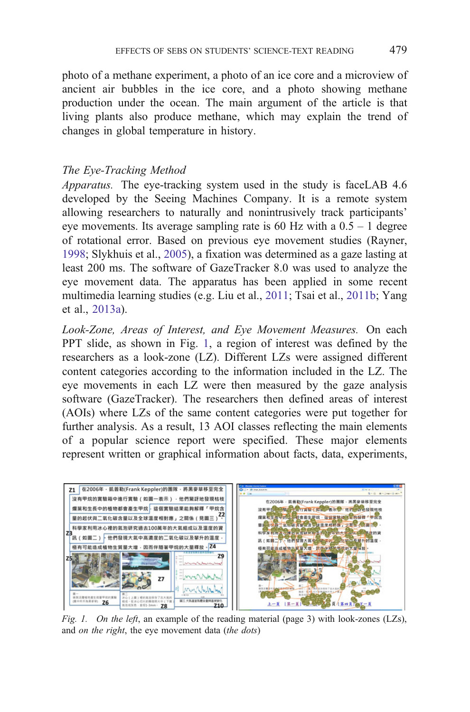<span id="page-6-0"></span>photo of a methane experiment, a photo of an ice core and a microview of ancient air bubbles in the ice core, and a photo showing methane production under the ocean. The main argument of the article is that living plants also produce methane, which may explain the trend of changes in global temperature in history.

# The Eye-Tracking Method

Apparatus. The eye-tracking system used in the study is faceLAB 4.6 developed by the Seeing Machines Company. It is a remote system allowing researchers to naturally and nonintrusively track participants' eve movements. Its average sampling rate is 60 Hz with a  $0.5 - 1$  degree of rotational error. Based on previous eye movement studies (Rayner, [1998;](#page-24-0) Slykhuis et al., [2005](#page-24-0)), a fixation was determined as a gaze lasting at least 200 ms. The software of GazeTracker 8.0 was used to analyze the eye movement data. The apparatus has been applied in some recent multimedia learning studies (e.g. Liu et al., [2011](#page-23-0); Tsai et al., [2011b](#page-25-0); Yang et al., [2013a](#page-25-0)).

Look-Zone, Areas of Interest, and Eye Movement Measures. On each PPT slide, as shown in Fig. 1, a region of interest was defined by the researchers as a look-zone (LZ). Different LZs were assigned different content categories according to the information included in the LZ. The eye movements in each LZ were then measured by the gaze analysis software (GazeTracker). The researchers then defined areas of interest (AOIs) where LZs of the same content categories were put together for further analysis. As a result, 13 AOI classes reflecting the main elements of a popular science report were specified. These major elements represent written or graphical information about facts, data, experiments,



Fig. 1. On the left, an example of the reading material (page 3) with look-zones (LZs), and *on the right*, the eye movement data (*the dots*)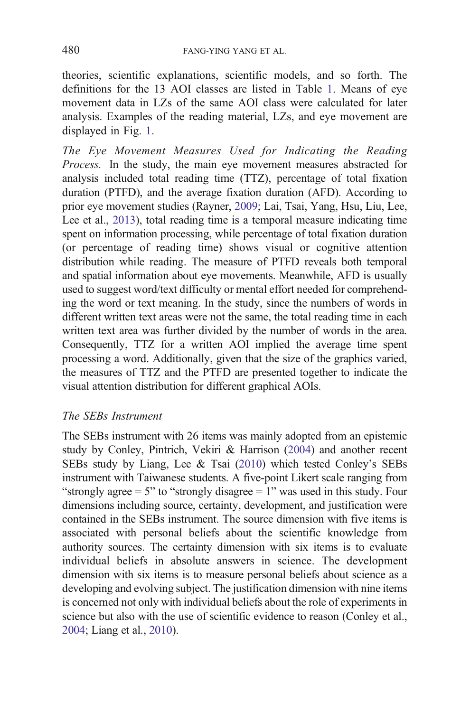theories, scientific explanations, scientific models, and so forth. The definitions for the 13 AOI classes are listed in Table [1](#page-8-0). Means of eye movement data in LZs of the same AOI class were calculated for later analysis. Examples of the reading material, LZs, and eye movement are displayed in Fig. [1.](#page-6-0)

The Eye Movement Measures Used for Indicating the Reading Process. In the study, the main eye movement measures abstracted for analysis included total reading time (TTZ), percentage of total fixation duration (PTFD), and the average fixation duration (AFD). According to prior eye movement studies (Rayner, [2009;](#page-24-0) Lai, Tsai, Yang, Hsu, Liu, Lee, Lee et al., [2013\)](#page-23-0), total reading time is a temporal measure indicating time spent on information processing, while percentage of total fixation duration (or percentage of reading time) shows visual or cognitive attention distribution while reading. The measure of PTFD reveals both temporal and spatial information about eye movements. Meanwhile, AFD is usually used to suggest word/text difficulty or mental effort needed for comprehending the word or text meaning. In the study, since the numbers of words in different written text areas were not the same, the total reading time in each written text area was further divided by the number of words in the area. Consequently, TTZ for a written AOI implied the average time spent processing a word. Additionally, given that the size of the graphics varied, the measures of TTZ and the PTFD are presented together to indicate the visual attention distribution for different graphical AOIs.

# The SEBs Instrument

The SEBs instrument with 26 items was mainly adopted from an epistemic study by Conley, Pintrich, Vekiri & Harrison [\(2004\)](#page-22-0) and another recent SEBs study by Liang, Lee & Tsai [\(2010\)](#page-23-0) which tested Conley's SEBs instrument with Taiwanese students. A five-point Likert scale ranging from "strongly agree  $= 5$ " to "strongly disagree  $= 1$ " was used in this study. Four dimensions including source, certainty, development, and justification were contained in the SEBs instrument. The source dimension with five items is associated with personal beliefs about the scientific knowledge from authority sources. The certainty dimension with six items is to evaluate individual beliefs in absolute answers in science. The development dimension with six items is to measure personal beliefs about science as a developing and evolving subject. The justification dimension with nine items is concerned not only with individual beliefs about the role of experiments in science but also with the use of scientific evidence to reason (Conley et al., [2004;](#page-22-0) Liang et al., [2010](#page-23-0)).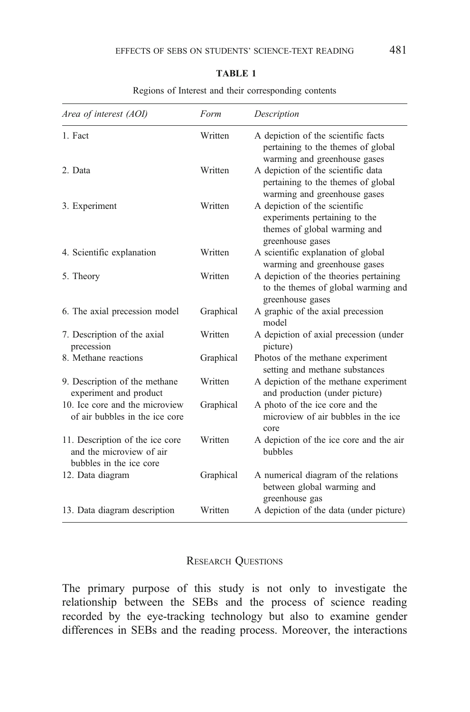<span id="page-8-0"></span>

| Area of interest (AOI)                                                                 | Form      | Description                                                                                                        |
|----------------------------------------------------------------------------------------|-----------|--------------------------------------------------------------------------------------------------------------------|
| 1. Fact                                                                                | Written   | A depiction of the scientific facts<br>pertaining to the themes of global<br>warming and greenhouse gases          |
| 2. Data                                                                                | Written   | A depiction of the scientific data<br>pertaining to the themes of global<br>warming and greenhouse gases           |
| 3. Experiment                                                                          | Written   | A depiction of the scientific<br>experiments pertaining to the<br>themes of global warming and<br>greenhouse gases |
| 4. Scientific explanation                                                              | Written   | A scientific explanation of global<br>warming and greenhouse gases                                                 |
| 5. Theory                                                                              | Written   | A depiction of the theories pertaining<br>to the themes of global warming and<br>greenhouse gases                  |
| 6. The axial precession model                                                          | Graphical | A graphic of the axial precession<br>model                                                                         |
| 7. Description of the axial<br>precession                                              | Written   | A depiction of axial precession (under<br>picture)                                                                 |
| 8. Methane reactions                                                                   | Graphical | Photos of the methane experiment<br>setting and methane substances                                                 |
| 9. Description of the methane<br>experiment and product                                | Written   | A depiction of the methane experiment<br>and production (under picture)                                            |
| 10. Ice core and the microview<br>of air bubbles in the ice core                       | Graphical | A photo of the ice core and the<br>microview of air bubbles in the ice<br>core                                     |
| 11. Description of the ice core<br>and the microview of air<br>bubbles in the ice core | Written   | A depiction of the ice core and the air<br>bubbles                                                                 |
| 12. Data diagram                                                                       | Graphical | A numerical diagram of the relations<br>between global warming and<br>greenhouse gas                               |
| 13. Data diagram description                                                           | Written   | A depiction of the data (under picture)                                                                            |

Regions of Interest and their corresponding contents

# RESEARCH QUESTIONS

The primary purpose of this study is not only to investigate the relationship between the SEBs and the process of science reading recorded by the eye-tracking technology but also to examine gender differences in SEBs and the reading process. Moreover, the interactions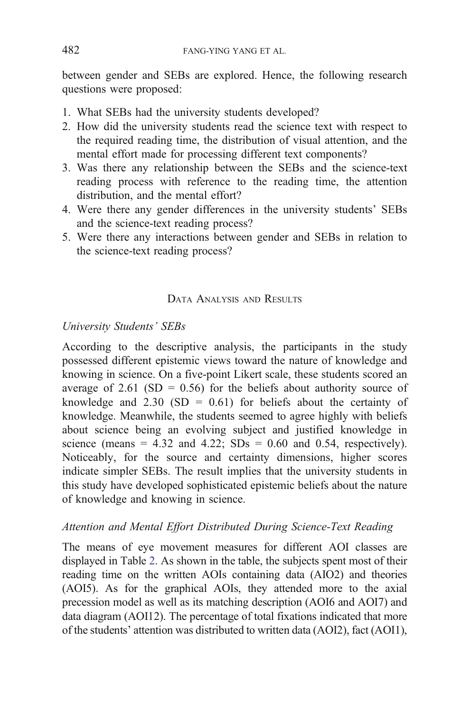between gender and SEBs are explored. Hence, the following research questions were proposed:

- 1. What SEBs had the university students developed?
- 2. How did the university students read the science text with respect to the required reading time, the distribution of visual attention, and the mental effort made for processing different text components?
- 3. Was there any relationship between the SEBs and the science-text reading process with reference to the reading time, the attention distribution, and the mental effort?
- 4. Were there any gender differences in the university students' SEBs and the science-text reading process?
- 5. Were there any interactions between gender and SEBs in relation to the science-text reading process?

# DATA ANALYSIS AND RESULTS

# University Students' SEBs

According to the descriptive analysis, the participants in the study possessed different epistemic views toward the nature of knowledge and knowing in science. On a five-point Likert scale, these students scored an average of 2.61 (SD = 0.56) for the beliefs about authority source of knowledge and  $2.30$  (SD = 0.61) for beliefs about the certainty of knowledge. Meanwhile, the students seemed to agree highly with beliefs about science being an evolving subject and justified knowledge in science (means =  $4.32$  and  $4.22$ ; SDs = 0.60 and 0.54, respectively). Noticeably, for the source and certainty dimensions, higher scores indicate simpler SEBs. The result implies that the university students in this study have developed sophisticated epistemic beliefs about the nature of knowledge and knowing in science.

# Attention and Mental Effort Distributed During Science-Text Reading

The means of eye movement measures for different AOI classes are displayed in Table [2.](#page-10-0) As shown in the table, the subjects spent most of their reading time on the written AOIs containing data (AIO2) and theories (AOI5). As for the graphical AOIs, they attended more to the axial precession model as well as its matching description (AOI6 and AOI7) and data diagram (AOI12). The percentage of total fixations indicated that more of the students' attention was distributed to written data (AOI2), fact (AOI1),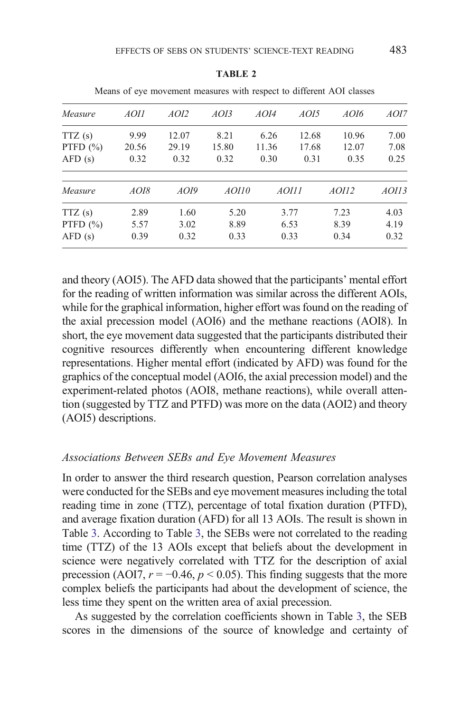<span id="page-10-0"></span>

|              |       |       |       |       |                  | ivically 01 Cyc movement measures with respect to unicrem TOT classes |       |
|--------------|-------|-------|-------|-------|------------------|-----------------------------------------------------------------------|-------|
| Measure      | AOI1  | AOI2  | AOI3  | AOI4  | AOI <sub>5</sub> | AOI6                                                                  | AOI7  |
| TTZ(s)       | 9.99  | 12.07 | 8.21  | 6.26  | 12.68            | 10.96                                                                 | 7.00  |
| PTFD $(\% )$ | 20.56 | 29.19 | 15.80 | 11.36 | 17.68            | 12.07                                                                 | 7.08  |
| AFD(s)       | 0.32  | 0.32  | 0.32  | 0.30  | 0.31             | 0.35                                                                  | 0.25  |
| Measure      | AOI8  | AOI9  | AOII0 |       | AOIII            | AOII2                                                                 | AOII3 |
| TTZ(s)       | 2.89  | 1.60  | 5.20  |       | 3.77             | 7.23                                                                  | 4.03  |
| PTFD $(\% )$ | 5.57  | 3.02  | 8.89  |       | 6.53             | 8.39                                                                  | 4.19  |
| AFD(s)       | 0.39  | 0.32  | 0.33  |       | 0.33             | 0.34                                                                  | 0.32  |

TABLE 2

Means of eye movement measures with respect to different AOI classes

and theory (AOI5). The AFD data showed that the participants' mental effort for the reading of written information was similar across the different AOIs, while for the graphical information, higher effort was found on the reading of the axial precession model (AOI6) and the methane reactions (AOI8). In short, the eye movement data suggested that the participants distributed their cognitive resources differently when encountering different knowledge representations. Higher mental effort (indicated by AFD) was found for the graphics of the conceptual model (AOI6, the axial precession model) and the experiment-related photos (AOI8, methane reactions), while overall attention (suggested by TTZ and PTFD) was more on the data (AOI2) and theory (AOI5) descriptions.

### Associations Between SEBs and Eye Movement Measures

In order to answer the third research question, Pearson correlation analyses were conducted for the SEBs and eye movement measures including the total reading time in zone (TTZ), percentage of total fixation duration (PTFD), and average fixation duration (AFD) for all 13 AOIs. The result is shown in Table [3.](#page-11-0) According to Table [3](#page-11-0), the SEBs were not correlated to the reading time (TTZ) of the 13 AOIs except that beliefs about the development in science were negatively correlated with TTZ for the description of axial precession (AOI7,  $r = -0.46$ ,  $p < 0.05$ ). This finding suggests that the more complex beliefs the participants had about the development of science, the less time they spent on the written area of axial precession.

As suggested by the correlation coefficients shown in Table [3,](#page-11-0) the SEB scores in the dimensions of the source of knowledge and certainty of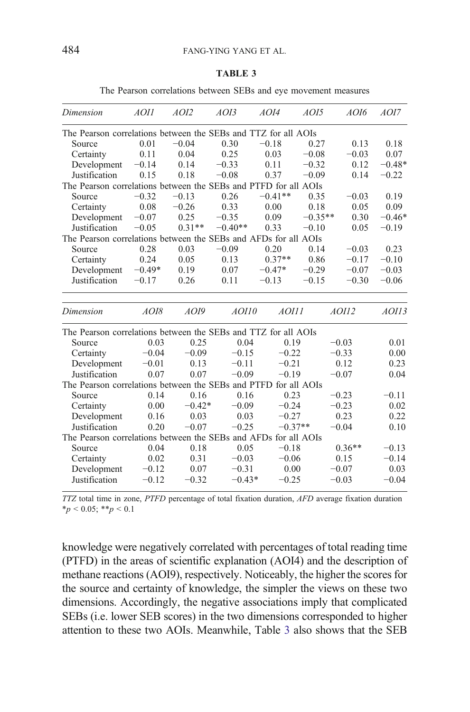|  |  |  | The Pearson correlations between SEBs and eye movement measures |  |  |  |  |  |  |
|--|--|--|-----------------------------------------------------------------|--|--|--|--|--|--|
|--|--|--|-----------------------------------------------------------------|--|--|--|--|--|--|

<span id="page-11-0"></span>

| Dimension                                                       | <i>AOI1</i> | AOI2     | AOI3      | AOI4      | AOI5      | AOI6     | AOI7     |
|-----------------------------------------------------------------|-------------|----------|-----------|-----------|-----------|----------|----------|
| The Pearson correlations between the SEBs and TTZ for all AOIs  |             |          |           |           |           |          |          |
| Source                                                          | 0.01        | $-0.04$  | 0.30      | $-0.18$   | 0.27      | 0.13     | 0.18     |
| Certainty                                                       | 0.11        | 0.04     | 0.25      | 0.03      | $-0.08$   | $-0.03$  | 0.07     |
| Development                                                     | $-0.14$     | 0.14     | $-0.33$   | 0.11      | $-0.32$   | 0.12     | $-0.48*$ |
| Justification                                                   | 0.15        | 0.18     | $-0.08$   | 0.37      | $-0.09$   | 0.14     | $-0.22$  |
| The Pearson correlations between the SEBs and PTFD for all AOIs |             |          |           |           |           |          |          |
| Source                                                          | $-0.32$     | $-0.13$  | 0.26      | $-0.41**$ | 0.35      | $-0.03$  | 0.19     |
| Certainty                                                       | 0.08        | $-0.26$  | 0.33      | 0.00      | 0.18      | 0.05     | 0.09     |
| Development                                                     | $-0.07$     | 0.25     | $-0.35$   | 0.09      | $-0.35**$ | 0.30     | $-0.46*$ |
| Justification                                                   | $-0.05$     | $0.31**$ | $-0.40**$ | 0.33      | $-0.10$   | 0.05     | $-0.19$  |
| The Pearson correlations between the SEBs and AFDs for all AOIs |             |          |           |           |           |          |          |
| Source                                                          | 0.28        | 0.03     | $-0.09$   | 0.20      | 0.14      | $-0.03$  | 0.23     |
| Certainty                                                       | 0.24        | 0.05     | 0.13      | $0.37**$  | 0.86      | $-0.17$  | $-0.10$  |
| Development                                                     | $-0.49*$    | 0.19     | 0.07      | $-0.47*$  | $-0.29$   | $-0.07$  | $-0.03$  |
| Justification                                                   | $-0.17$     | 0.26     | 0.11      | $-0.13$   | $-0.15$   | $-0.30$  | $-0.06$  |
| Dimension                                                       | AOI8        | AOI9     | AOII0     | AOIII     |           | AOII2    | AOII3    |
| The Pearson correlations between the SEBs and TTZ for all AOIs  |             |          |           |           |           |          |          |
| Source                                                          | 0.03        | 0.25     | 0.04      | 0.19      |           | $-0.03$  | 0.01     |
| Certainty                                                       | $-0.04$     | $-0.09$  | $-0.15$   | $-0.22$   |           | $-0.33$  | 0.00     |
| Development                                                     | $-0.01$     | 0.13     | $-0.11$   | $-0.21$   |           | 0.12     | 0.23     |
| Justification                                                   | 0.07        | 0.07     | $-0.09$   | $-0.19$   |           | $-0.07$  | 0.04     |
| The Pearson correlations between the SEBs and PTFD for all AOIs |             |          |           |           |           |          |          |
| Source                                                          | 0.14        | 0.16     | 0.16      | 0.23      |           | $-0.23$  | $-0.11$  |
| Certainty                                                       | 0.00        | $-0.42*$ | $-0.09$   | $-0.24$   |           | $-0.23$  | 0.02     |
| Development                                                     | 0.16        | 0.03     | 0.03      | $-0.27$   |           | 0.23     | 0.22     |
| Justification                                                   | 0.20        | $-0.07$  | $-0.25$   | $-0.37**$ |           | $-0.04$  | 0.10     |
| The Pearson correlations between the SEBs and AFDs for all AOIs |             |          |           |           |           |          |          |
| Source                                                          | 0.04        | 0.18     | 0.05      | $-0.18$   |           | $0.36**$ | $-0.13$  |
| Certainty                                                       | 0.02        | 0.31     | $-0.03$   | $-0.06$   |           | 0.15     | $-0.14$  |
| Development                                                     | $-0.12$     | 0.07     | $-0.31$   | 0.00      |           | $-0.07$  | 0.03     |
| Justification                                                   | $-0.12$     | $-0.32$  | $-0.43*$  | $-0.25$   |           | $-0.03$  | $-0.04$  |

TTZ total time in zone, PTFD percentage of total fixation duration, AFD average fixation duration  $*_{p}$  < 0.05; \*\*p < 0.1

knowledge were negatively correlated with percentages of total reading time (PTFD) in the areas of scientific explanation (AOI4) and the description of methane reactions (AOI9), respectively. Noticeably, the higher the scores for the source and certainty of knowledge, the simpler the views on these two dimensions. Accordingly, the negative associations imply that complicated SEBs (i.e. lower SEB scores) in the two dimensions corresponded to higher attention to these two AOIs. Meanwhile, Table 3 also shows that the SEB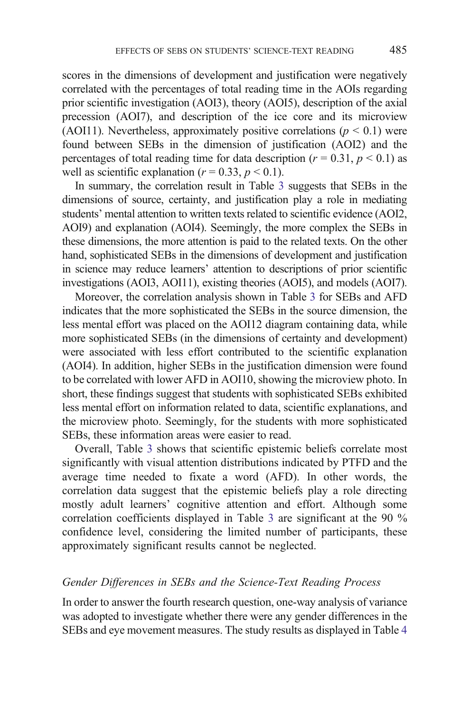scores in the dimensions of development and justification were negatively correlated with the percentages of total reading time in the AOIs regarding prior scientific investigation (AOI3), theory (AOI5), description of the axial precession (AOI7), and description of the ice core and its microview (AOI11). Nevertheless, approximately positive correlations ( $p \le 0.1$ ) were found between SEBs in the dimension of justification (AOI2) and the percentages of total reading time for data description ( $r = 0.31$ ,  $p < 0.1$ ) as well as scientific explanation ( $r = 0.33$ ,  $p < 0.1$ ).

In summary, the correlation result in Table [3](#page-11-0) suggests that SEBs in the dimensions of source, certainty, and justification play a role in mediating students' mental attention to written texts related to scientific evidence (AOI2, AOI9) and explanation (AOI4). Seemingly, the more complex the SEBs in these dimensions, the more attention is paid to the related texts. On the other hand, sophisticated SEBs in the dimensions of development and justification in science may reduce learners' attention to descriptions of prior scientific investigations (AOI3, AOI11), existing theories (AOI5), and models (AOI7).

Moreover, the correlation analysis shown in Table [3](#page-11-0) for SEBs and AFD indicates that the more sophisticated the SEBs in the source dimension, the less mental effort was placed on the AOI12 diagram containing data, while more sophisticated SEBs (in the dimensions of certainty and development) were associated with less effort contributed to the scientific explanation (AOI4). In addition, higher SEBs in the justification dimension were found to be correlated with lower AFD in AOI10, showing the microview photo. In short, these findings suggest that students with sophisticated SEBs exhibited less mental effort on information related to data, scientific explanations, and the microview photo. Seemingly, for the students with more sophisticated SEBs, these information areas were easier to read.

Overall, Table [3](#page-11-0) shows that scientific epistemic beliefs correlate most significantly with visual attention distributions indicated by PTFD and the average time needed to fixate a word (AFD). In other words, the correlation data suggest that the epistemic beliefs play a role directing mostly adult learners' cognitive attention and effort. Although some correlation coefficients displayed in Table [3](#page-11-0) are significant at the 90 % confidence level, considering the limited number of participants, these approximately significant results cannot be neglected.

# Gender Differences in SEBs and the Science-Text Reading Process

In order to answer the fourth research question, one-way analysis of variance was adopted to investigate whether there were any gender differences in the SEBs and eye movement measures. The study results as displayed in Table [4](#page-13-0)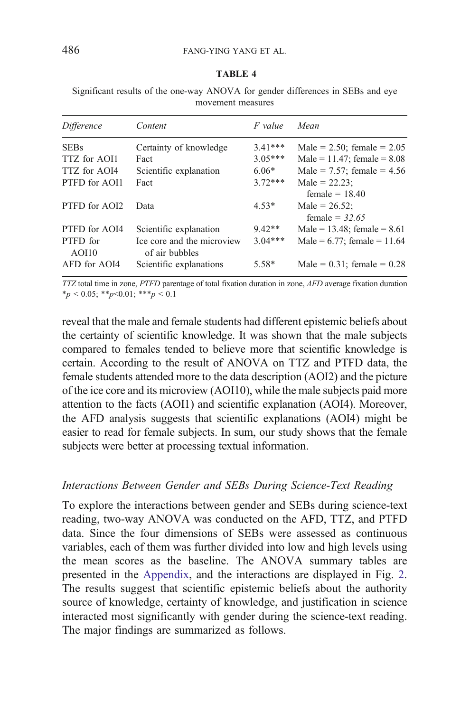<span id="page-13-0"></span>Significant results of the one-way ANOVA for gender differences in SEBs and eye movement measures

| <i>Difference</i> | Content                                      | F value   | Mean                                 |
|-------------------|----------------------------------------------|-----------|--------------------------------------|
| <b>SEBs</b>       | Certainty of knowledge                       | $3.41***$ | Male = $2.50$ ; female = $2.05$      |
| TTZ for AOI1      | Fact                                         | $3.05***$ | Male = $11.47$ ; female = $8.08$     |
| TTZ for AOI4      | Scientific explanation                       | $6.06*$   | Male = $7.57$ ; female = $4.56$      |
| PTFD for AOI1     | Fact                                         | $3.72***$ | Male = $22.23$ ;<br>female $= 18.40$ |
| PTFD for AOI2     | Data                                         | $4.53*$   | Male = $26.52$ :<br>female = $32.65$ |
| PTFD for AOI4     | Scientific explanation                       | $9.42**$  | Male = $13.48$ ; female = $8.61$     |
| PTFD for<br>AOI10 | Ice core and the microview<br>of air bubbles | $3.04***$ | Male = $6.77$ ; female = 11.64       |
| AFD for AOI4      | Scientific explanations                      | $5.58*$   | Male = $0.31$ ; female = $0.28$      |

TTZ total time in zone, PTFD parentage of total fixation duration in zone, AFD average fixation duration  $*_{p}$  < 0.05; \*\*p<0.01; \*\*\*p < 0.1

reveal that the male and female students had different epistemic beliefs about the certainty of scientific knowledge. It was shown that the male subjects compared to females tended to believe more that scientific knowledge is certain. According to the result of ANOVA on TTZ and PTFD data, the female students attended more to the data description (AOI2) and the picture of the ice core and its microview (AOI10), while the male subjects paid more attention to the facts (AOI1) and scientific explanation (AOI4). Moreover, the AFD analysis suggests that scientific explanations (AOI4) might be easier to read for female subjects. In sum, our study shows that the female subjects were better at processing textual information.

## Interactions Between Gender and SEBs During Science-Text Reading

To explore the interactions between gender and SEBs during science-text reading, two-way ANOVA was conducted on the AFD, TTZ, and PTFD data. Since the four dimensions of SEBs were assessed as continuous variables, each of them was further divided into low and high levels using the mean scores as the baseline. The ANOVA summary tables are presented in the Appendix, and the interactions are displayed in Fig. [2](#page-14-0). The results suggest that scientific epistemic beliefs about the authority source of knowledge, certainty of knowledge, and justification in science interacted most significantly with gender during the science-text reading. The major findings are summarized as follows.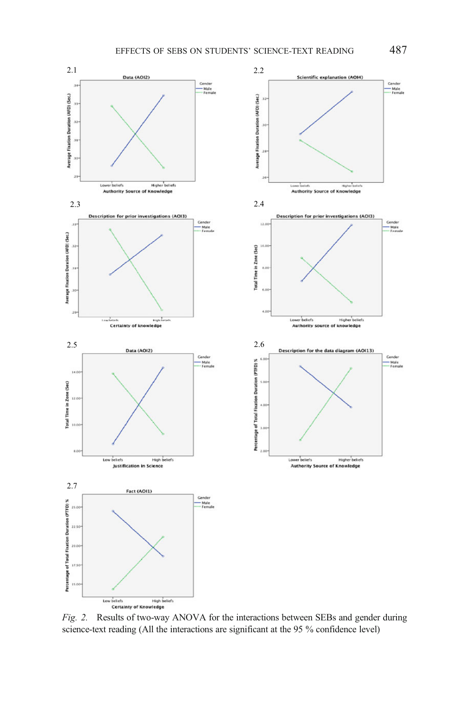<span id="page-14-0"></span>

Fig. 2. Results of two-way ANOVA for the interactions between SEBs and gender during science-text reading (All the interactions are significant at the 95 % confidence level)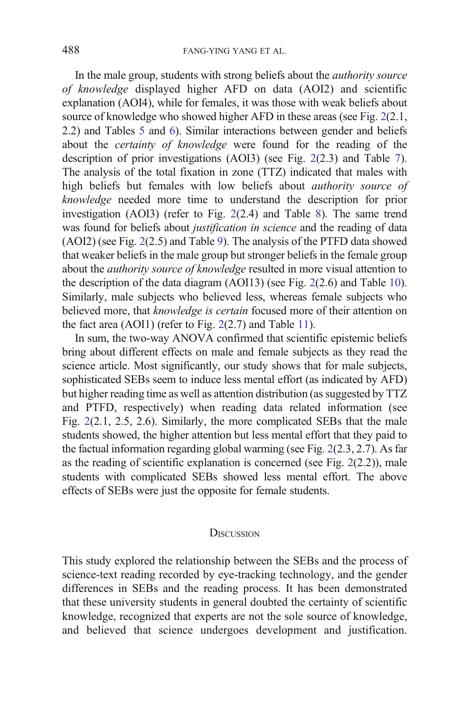In the male group, students with strong beliefs about the authority source of knowledge displayed higher AFD on data (AOI2) and scientific explanation (AOI4), while for females, it was those with weak beliefs about source of knowledge who showed higher AFD in these areas (see Fig. [2](#page-14-0)(2.1, 2.2) and Tables [5](#page-19-0) and [6\)](#page-19-0). Similar interactions between gender and beliefs about the *certainty of knowledge* were found for the reading of the description of prior investigations (AOI3) (see Fig. [2\(](#page-14-0)2.3) and Table [7\)](#page-20-0). The analysis of the total fixation in zone (TTZ) indicated that males with high beliefs but females with low beliefs about authority source of knowledge needed more time to understand the description for prior investigation (AOI3) (refer to Fig. [2](#page-14-0)(2.4) and Table [8](#page-20-0)). The same trend was found for beliefs about justification in science and the reading of data (AOI2) (see Fig. [2\(](#page-14-0)2.5) and Table [9\)](#page-21-0). The analysis of the PTFD data showed that weaker beliefs in the male group but stronger beliefs in the female group about the *authority source of knowledge* resulted in more visual attention to the description of the data diagram (AOI13) (see Fig. [2](#page-14-0)(2.6) and Table [10\)](#page-21-0). Similarly, male subjects who believed less, whereas female subjects who believed more, that knowledge is certain focused more of their attention on the fact area (AOI1) (refer to Fig. [2\(](#page-14-0)2.7) and Table [11](#page-22-0)).

In sum, the two-way ANOVA confirmed that scientific epistemic beliefs bring about different effects on male and female subjects as they read the science article. Most significantly, our study shows that for male subjects, sophisticated SEBs seem to induce less mental effort (as indicated by AFD) but higher reading time as well as attention distribution (as suggested by TTZ and PTFD, respectively) when reading data related information (see Fig. [2](#page-14-0)(2.1, 2.5, 2.6). Similarly, the more complicated SEBs that the male students showed, the higher attention but less mental effort that they paid to the factual information regarding global warming (see Fig. [2\(](#page-14-0)2.3, 2.7). As far as the reading of scientific explanation is concerned (see Fig. [2\(](#page-14-0)2.2)), male students with complicated SEBs showed less mental effort. The above effects of SEBs were just the opposite for female students.

#### **DISCUSSION**

This study explored the relationship between the SEBs and the process of science-text reading recorded by eye-tracking technology, and the gender differences in SEBs and the reading process. It has been demonstrated that these university students in general doubted the certainty of scientific knowledge, recognized that experts are not the sole source of knowledge, and believed that science undergoes development and justification.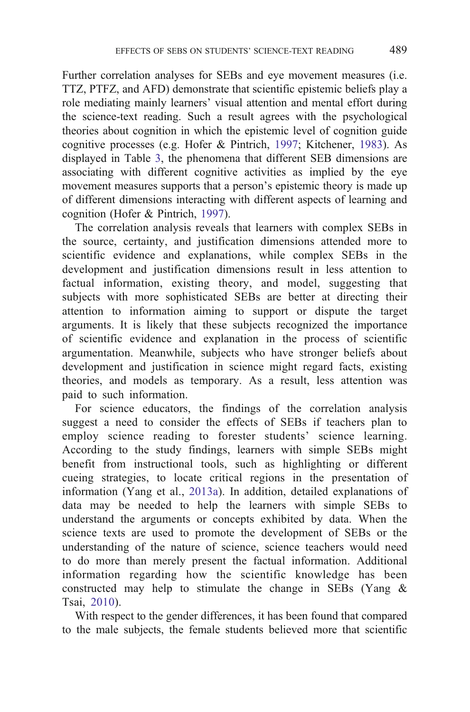Further correlation analyses for SEBs and eye movement measures (i.e. TTZ, PTFZ, and AFD) demonstrate that scientific epistemic beliefs play a role mediating mainly learners' visual attention and mental effort during the science-text reading. Such a result agrees with the psychological theories about cognition in which the epistemic level of cognition guide cognitive processes (e.g. Hofer & Pintrich, [1997;](#page-23-0) Kitchener, [1983](#page-23-0)). As displayed in Table [3](#page-11-0), the phenomena that different SEB dimensions are associating with different cognitive activities as implied by the eye movement measures supports that a person's epistemic theory is made up of different dimensions interacting with different aspects of learning and cognition (Hofer & Pintrich, [1997\)](#page-23-0).

The correlation analysis reveals that learners with complex SEBs in the source, certainty, and justification dimensions attended more to scientific evidence and explanations, while complex SEBs in the development and justification dimensions result in less attention to factual information, existing theory, and model, suggesting that subjects with more sophisticated SEBs are better at directing their attention to information aiming to support or dispute the target arguments. It is likely that these subjects recognized the importance of scientific evidence and explanation in the process of scientific argumentation. Meanwhile, subjects who have stronger beliefs about development and justification in science might regard facts, existing theories, and models as temporary. As a result, less attention was paid to such information.

For science educators, the findings of the correlation analysis suggest a need to consider the effects of SEBs if teachers plan to employ science reading to forester students' science learning. According to the study findings, learners with simple SEBs might benefit from instructional tools, such as highlighting or different cueing strategies, to locate critical regions in the presentation of information (Yang et al., [2013a](#page-25-0)). In addition, detailed explanations of data may be needed to help the learners with simple SEBs to understand the arguments or concepts exhibited by data. When the science texts are used to promote the development of SEBs or the understanding of the nature of science, science teachers would need to do more than merely present the factual information. Additional information regarding how the scientific knowledge has been constructed may help to stimulate the change in SEBs (Yang & Tsai, [2010](#page-25-0)).

With respect to the gender differences, it has been found that compared to the male subjects, the female students believed more that scientific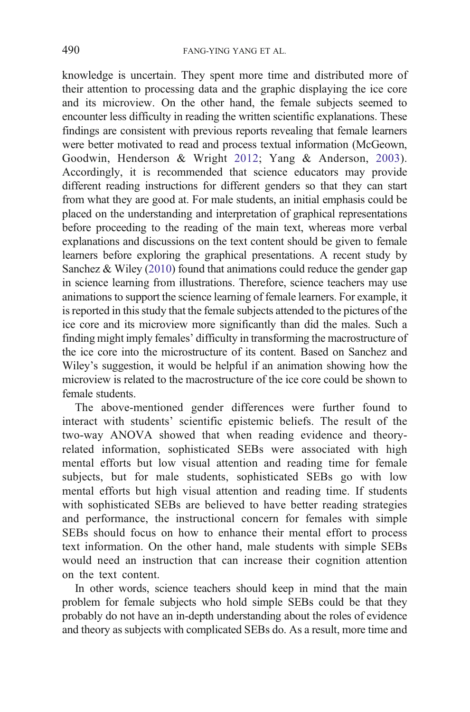knowledge is uncertain. They spent more time and distributed more of their attention to processing data and the graphic displaying the ice core and its microview. On the other hand, the female subjects seemed to encounter less difficulty in reading the written scientific explanations. These findings are consistent with previous reports revealing that female learners were better motivated to read and process textual information (McGeown, Goodwin, Henderson & Wright [2012](#page-24-0); Yang & Anderson, [2003](#page-25-0)). Accordingly, it is recommended that science educators may provide different reading instructions for different genders so that they can start from what they are good at. For male students, an initial emphasis could be placed on the understanding and interpretation of graphical representations before proceeding to the reading of the main text, whereas more verbal explanations and discussions on the text content should be given to female learners before exploring the graphical presentations. A recent study by Sanchez  $& Wiley (2010) found that animations could reduce the gender gap$  $& Wiley (2010) found that animations could reduce the gender gap$  $& Wiley (2010) found that animations could reduce the gender gap$ in science learning from illustrations. Therefore, science teachers may use animations to support the science learning of female learners. For example, it is reported in this study that the female subjects attended to the pictures of the ice core and its microview more significantly than did the males. Such a finding might imply females' difficulty in transforming the macrostructure of the ice core into the microstructure of its content. Based on Sanchez and Wiley's suggestion, it would be helpful if an animation showing how the microview is related to the macrostructure of the ice core could be shown to female students.

The above-mentioned gender differences were further found to interact with students' scientific epistemic beliefs. The result of the two-way ANOVA showed that when reading evidence and theoryrelated information, sophisticated SEBs were associated with high mental efforts but low visual attention and reading time for female subjects, but for male students, sophisticated SEBs go with low mental efforts but high visual attention and reading time. If students with sophisticated SEBs are believed to have better reading strategies and performance, the instructional concern for females with simple SEBs should focus on how to enhance their mental effort to process text information. On the other hand, male students with simple SEBs would need an instruction that can increase their cognition attention on the text content.

In other words, science teachers should keep in mind that the main problem for female subjects who hold simple SEBs could be that they probably do not have an in-depth understanding about the roles of evidence and theory as subjects with complicated SEBs do. As a result, more time and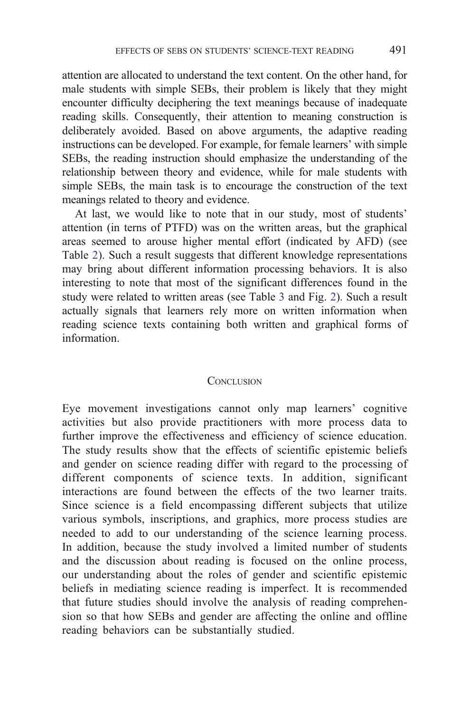attention are allocated to understand the text content. On the other hand, for male students with simple SEBs, their problem is likely that they might encounter difficulty deciphering the text meanings because of inadequate reading skills. Consequently, their attention to meaning construction is deliberately avoided. Based on above arguments, the adaptive reading instructions can be developed. For example, for female learners' with simple SEBs, the reading instruction should emphasize the understanding of the relationship between theory and evidence, while for male students with simple SEBs, the main task is to encourage the construction of the text meanings related to theory and evidence.

At last, we would like to note that in our study, most of students' attention (in terns of PTFD) was on the written areas, but the graphical areas seemed to arouse higher mental effort (indicated by AFD) (see Table [2\)](#page-10-0). Such a result suggests that different knowledge representations may bring about different information processing behaviors. It is also interesting to note that most of the significant differences found in the study were related to written areas (see Table [3](#page-11-0) and Fig. [2](#page-14-0)). Such a result actually signals that learners rely more on written information when reading science texts containing both written and graphical forms of information.

### **CONCLUSION**

Eye movement investigations cannot only map learners' cognitive activities but also provide practitioners with more process data to further improve the effectiveness and efficiency of science education. The study results show that the effects of scientific epistemic beliefs and gender on science reading differ with regard to the processing of different components of science texts. In addition, significant interactions are found between the effects of the two learner traits. Since science is a field encompassing different subjects that utilize various symbols, inscriptions, and graphics, more process studies are needed to add to our understanding of the science learning process. In addition, because the study involved a limited number of students and the discussion about reading is focused on the online process, our understanding about the roles of gender and scientific epistemic beliefs in mediating science reading is imperfect. It is recommended that future studies should involve the analysis of reading comprehension so that how SEBs and gender are affecting the online and offline reading behaviors can be substantially studied.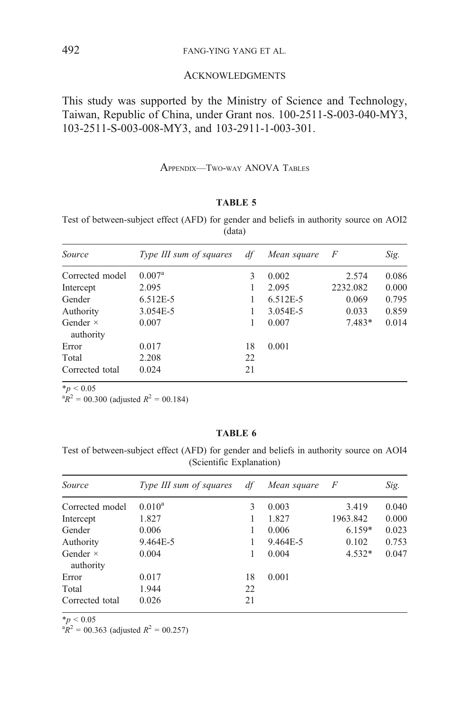# <span id="page-19-0"></span>492 FANG-YING YANG ET AL.

### ACKNOWLEDGMENTS

This study was supported by the Ministry of Science and Technology, Taiwan, Republic of China, under Grant nos. 100-2511-S-003-040-MY3, 103-2511-S-003-008-MY3, and 103-2911-1-003-301.

#### APPENDIX—TWO-WAY ANOVA TABLES

## TABLE 5

Test of between-subject effect (AFD) for gender and beliefs in authority source on AOI2 (data)

| Source                       | Type III sum of squares | df | Mean square | $\overline{F}$ | Sig.  |
|------------------------------|-------------------------|----|-------------|----------------|-------|
| Corrected model              | $0.007^{\rm a}$         | 3  | 0.002       | 2.574          | 0.086 |
| Intercept                    | 2.095                   |    | 2.095       | 2232.082       | 0.000 |
| Gender                       | $6.512E-5$              |    | 6.512E-5    | 0.069          | 0.795 |
| Authority                    | 3.054E-5                |    | 3.054E-5    | 0.033          | 0.859 |
| Gender $\times$<br>authority | 0.007                   |    | 0.007       | $7.483*$       | 0.014 |
| Error                        | 0.017                   | 18 | 0.001       |                |       |
| Total                        | 2.208                   | 22 |             |                |       |
| Corrected total              | 0.024                   | 21 |             |                |       |

 $*_{p}$  < 0.05<br>  $*_{R}$ <sup>2</sup> = 00.300 (adjusted  $R$ <sup>2</sup> = 00.184)

#### TABLE 6

Test of between-subject effect (AFD) for gender and beliefs in authority source on AOI4 (Scientific Explanation)

| Source                       | Type III sum of squares | df | Mean square | $\overline{F}$ | Sig.  |
|------------------------------|-------------------------|----|-------------|----------------|-------|
| Corrected model              | $0.010^a$               | 3  | 0.003       | 3.419          | 0.040 |
| Intercept                    | 1.827                   |    | 1.827       | 1963.842       | 0.000 |
| Gender                       | 0.006                   |    | 0.006       | $6.159*$       | 0.023 |
| Authority                    | 9.464E-5                |    | 9.464E-5    | 0.102          | 0.753 |
| Gender $\times$<br>authority | 0.004                   |    | 0.004       | $4.532*$       | 0.047 |
| Error                        | 0.017                   | 18 | 0.001       |                |       |
| Total                        | 1.944                   | 22 |             |                |       |
| Corrected total              | 0.026                   | 21 |             |                |       |

 $*_{p}$  < 0.05

 ${}^{a}R^{2} = 00.363$  (adjusted  $R^{2} = 00.257$ )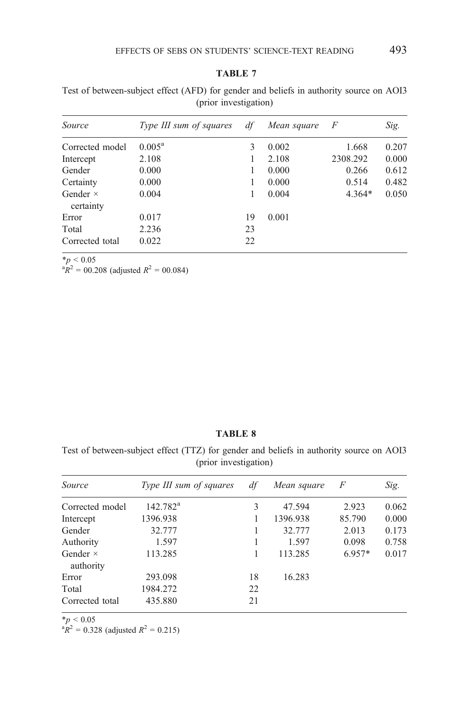| Source                       | Type III sum of squares | df | Mean square | F        | Sig.  |
|------------------------------|-------------------------|----|-------------|----------|-------|
| Corrected model              | $0.005^{\rm a}$         | 3  | 0.002       | 1.668    | 0.207 |
| Intercept                    | 2.108                   |    | 2.108       | 2308.292 | 0.000 |
| Gender                       | 0.000                   |    | 0.000       | 0.266    | 0.612 |
| Certainty                    | 0.000                   |    | 0.000       | 0.514    | 0.482 |
| Gender $\times$<br>certainty | 0.004                   |    | 0.004       | $4.364*$ | 0.050 |
| Error                        | 0.017                   | 19 | 0.001       |          |       |
| Total                        | 2.236                   | 23 |             |          |       |
| Corrected total              | 0.022                   | 22 |             |          |       |

<span id="page-20-0"></span>Test of between-subject effect (AFD) for gender and beliefs in authority source on AOI3 (prior investigation)

 $*_{p}$  < 0.05<br>  $*_{R}$ <sup>2</sup> = 00.208 (adjusted  $R$ <sup>2</sup> = 00.084)

## TABLE 8

Test of between-subject effect (TTZ) for gender and beliefs in authority source on AOI3 (prior investigation)

| Source                       | Type III sum of squares | df | Mean square | F        | Sig.  |
|------------------------------|-------------------------|----|-------------|----------|-------|
| Corrected model              | $142.782^a$             | 3  | 47.594      | 2.923    | 0.062 |
| Intercept                    | 1396.938                |    | 1396.938    | 85.790   | 0.000 |
| Gender                       | 32.777                  | 1  | 32.777      | 2.013    | 0.173 |
| Authority                    | 1.597                   |    | 1.597       | 0.098    | 0.758 |
| Gender $\times$<br>authority | 113.285                 |    | 113.285     | $6.957*$ | 0.017 |
| Error                        | 293.098                 | 18 | 16.283      |          |       |
| Total                        | 1984.272                | 22 |             |          |       |
| Corrected total              | 435.880                 | 21 |             |          |       |

 $*_{p}$  < 0.05

 $R^2 = 0.328$  (adjusted  $R^2 = 0.215$ )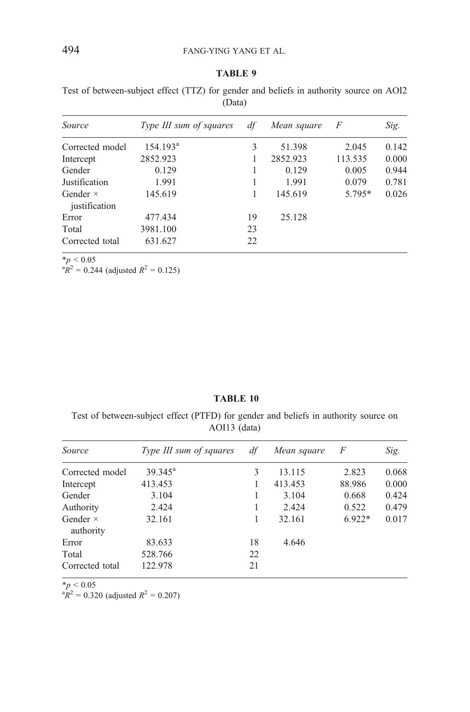<span id="page-21-0"></span>Test of between-subject effect (TTZ) for gender and beliefs in authority source on AOI2 (Data)

| <i>Source</i>                    | Type III sum of squares | df | Mean square | F        | Sig.  |
|----------------------------------|-------------------------|----|-------------|----------|-------|
| Corrected model                  | 154.193 <sup>a</sup>    | 3  | 51.398      | 2.045    | 0.142 |
| Intercept                        | 2852.923                |    | 2852.923    | 113.535  | 0.000 |
| Gender                           | 0.129                   |    | 0.129       | 0.005    | 0.944 |
| Justification                    | 1.991                   |    | 1.991       | 0.079    | 0.781 |
| Gender $\times$<br>justification | 145.619                 |    | 145.619     | $5.795*$ | 0.026 |
| Error                            | 477.434                 | 19 | 25.128      |          |       |
| Total                            | 3981.100                | 23 |             |          |       |
| Corrected total                  | 631.627                 | 22 |             |          |       |

 $*_{p}$  < 0.05<br>  $*_{R}$ <sup>2</sup> = 0.244 (adjusted  $R$ <sup>2</sup> = 0.125)

## TABLE 10

Test of between-subject effect (PTFD) for gender and beliefs in authority source on AOI13 (data)

| Source                       | Type III sum of squares | df | Mean square | F        | Sig.  |
|------------------------------|-------------------------|----|-------------|----------|-------|
| Corrected model              | $39.345^{\circ}$        | 3  | 13.115      | 2.823    | 0.068 |
| Intercept                    | 413.453                 |    | 413.453     | 88.986   | 0.000 |
| Gender                       | 3.104                   |    | 3.104       | 0.668    | 0.424 |
| Authority                    | 2.424                   |    | 2.424       | 0.522    | 0.479 |
| Gender $\times$<br>authority | 32.161                  | 1  | 32.161      | $6.922*$ | 0.017 |
| Error                        | 83.633                  | 18 | 4.646       |          |       |
| Total                        | 528.766                 | 22 |             |          |       |
| Corrected total              | 122.978                 | 21 |             |          |       |

\*p < 0.05<br> ${}^{3}R^{2}$  = 0.320 (adjusted  $R^{2}$  = 0.207)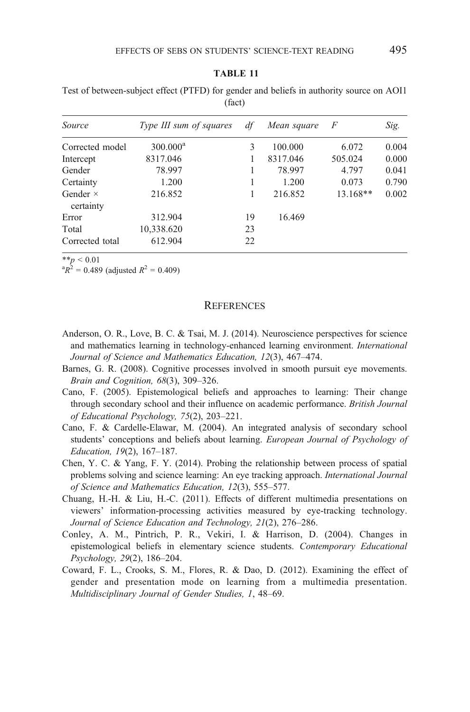<span id="page-22-0"></span>Test of between-subject effect (PTFD) for gender and beliefs in authority source on AOI1 (fact)

| Source                       | Type III sum of squares | df | Mean square | F        | Sig.  |
|------------------------------|-------------------------|----|-------------|----------|-------|
| Corrected model              | $300.000^a$             | 3  | 100.000     | 6.072    | 0.004 |
| Intercept                    | 8317.046                |    | 8317.046    | 505.024  | 0.000 |
| Gender                       | 78.997                  |    | 78.997      | 4.797    | 0.041 |
| Certainty                    | 1.200                   |    | 1.200       | 0.073    | 0.790 |
| Gender $\times$<br>certainty | 216.852                 |    | 216.852     | 13.168** | 0.002 |
| Error                        | 312.904                 | 19 | 16.469      |          |       |
| Total                        | 10,338.620              | 23 |             |          |       |
| Corrected total              | 612.904                 | 22 |             |          |       |

\*\*p < 0.01<br>  ${}^{4}R^{2} = 0.489$  (adjusted  $R^{2} = 0.409$ )

#### **REFERENCES**

- Anderson, O. R., Love, B. C. & Tsai, M. J. (2014). Neuroscience perspectives for science and mathematics learning in technology-enhanced learning environment. International Journal of Science and Mathematics Education, 12(3), 467–474.
- Barnes, G. R. (2008). Cognitive processes involved in smooth pursuit eye movements. Brain and Cognition, 68(3), 309–326.
- Cano, F. (2005). Epistemological beliefs and approaches to learning: Their change through secondary school and their influence on academic performance. British Journal of Educational Psychology, 75(2), 203–221.
- Cano, F. & Cardelle-Elawar, M. (2004). An integrated analysis of secondary school students' conceptions and beliefs about learning. *European Journal of Psychology of* Education, 19(2), 167–187.
- Chen, Y. C. & Yang, F. Y. (2014). Probing the relationship between process of spatial problems solving and science learning: An eye tracking approach. International Journal of Science and Mathematics Education, 12(3), 555–577.
- Chuang, H.-H. & Liu, H.-C. (2011). Effects of different multimedia presentations on viewers' information-processing activities measured by eye-tracking technology. Journal of Science Education and Technology, 21(2), 276–286.
- Conley, A. M., Pintrich, P. R., Vekiri, I. & Harrison, D. (2004). Changes in epistemological beliefs in elementary science students. Contemporary Educational Psychology, 29(2), 186–204.
- Coward, F. L., Crooks, S. M., Flores, R. & Dao, D. (2012). Examining the effect of gender and presentation mode on learning from a multimedia presentation. Multidisciplinary Journal of Gender Studies, 1, 48–69.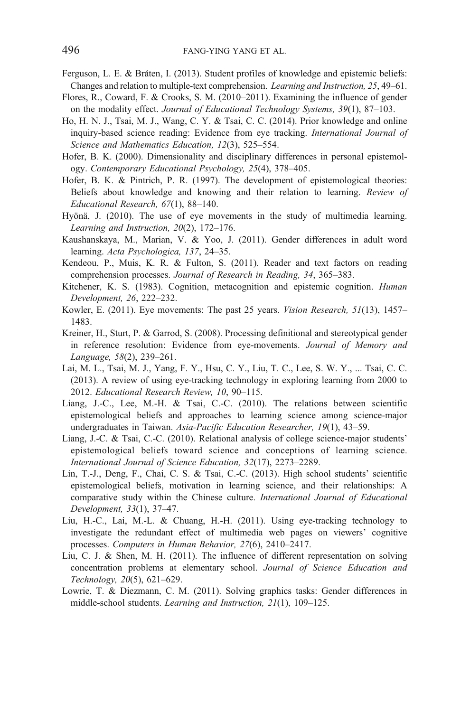- <span id="page-23-0"></span>Ferguson, L. E. & Bråten, I. (2013). Student profiles of knowledge and epistemic beliefs: Changes and relation to multiple-text comprehension. Learning and Instruction, 25, 49–61.
- Flores, R., Coward, F. & Crooks, S. M. (2010–2011). Examining the influence of gender on the modality effect. Journal of Educational Technology Systems, 39(1), 87–103.
- Ho, H. N. J., Tsai, M. J., Wang, C. Y. & Tsai, C. C. (2014). Prior knowledge and online inquiry-based science reading: Evidence from eye tracking. International Journal of Science and Mathematics Education, 12(3), 525–554.
- Hofer, B. K. (2000). Dimensionality and disciplinary differences in personal epistemology. Contemporary Educational Psychology, 25(4), 378–405.
- Hofer, B. K. & Pintrich, P. R. (1997). The development of epistemological theories: Beliefs about knowledge and knowing and their relation to learning. Review of Educational Research, 67(1), 88–140.
- Hyönä, J. (2010). The use of eye movements in the study of multimedia learning. Learning and Instruction, 20(2), 172–176.
- Kaushanskaya, M., Marian, V. & Yoo, J. (2011). Gender differences in adult word learning. Acta Psychologica, 137, 24–35.
- Kendeou, P., Muis, K. R. & Fulton, S. (2011). Reader and text factors on reading comprehension processes. Journal of Research in Reading, 34, 365–383.
- Kitchener, K. S. (1983). Cognition, metacognition and epistemic cognition. *Human* Development, 26, 222–232.
- Kowler, E. (2011). Eye movements: The past 25 years. Vision Research, 51(13), 1457– 1483.
- Kreiner, H., Sturt, P. & Garrod, S. (2008). Processing definitional and stereotypical gender in reference resolution: Evidence from eye-movements. Journal of Memory and Language, 58(2), 239–261.
- Lai, M. L., Tsai, M. J., Yang, F. Y., Hsu, C. Y., Liu, T. C., Lee, S. W. Y., ... Tsai, C. C. (2013). A review of using eye-tracking technology in exploring learning from 2000 to 2012. Educational Research Review, 10, 90–115.
- Liang, J.-C., Lee, M.-H. & Tsai, C.-C. (2010). The relations between scientific epistemological beliefs and approaches to learning science among science-major undergraduates in Taiwan. Asia-Pacific Education Researcher, 19(1), 43-59.
- Liang, J.-C. & Tsai, C.-C. (2010). Relational analysis of college science-major students' epistemological beliefs toward science and conceptions of learning science. International Journal of Science Education, 32(17), 2273–2289.
- Lin, T.-J., Deng, F., Chai, C. S. & Tsai, C.-C. (2013). High school students' scientific epistemological beliefs, motivation in learning science, and their relationships: A comparative study within the Chinese culture. International Journal of Educational Development, 33(1), 37–47.
- Liu, H.-C., Lai, M.-L. & Chuang, H.-H. (2011). Using eye-tracking technology to investigate the redundant effect of multimedia web pages on viewers' cognitive processes. Computers in Human Behavior, 27(6), 2410–2417.
- Liu, C. J. & Shen, M. H. (2011). The influence of different representation on solving concentration problems at elementary school. Journal of Science Education and Technology, 20(5), 621–629.
- Lowrie, T. & Diezmann, C. M. (2011). Solving graphics tasks: Gender differences in middle-school students. Learning and Instruction, 21(1), 109–125.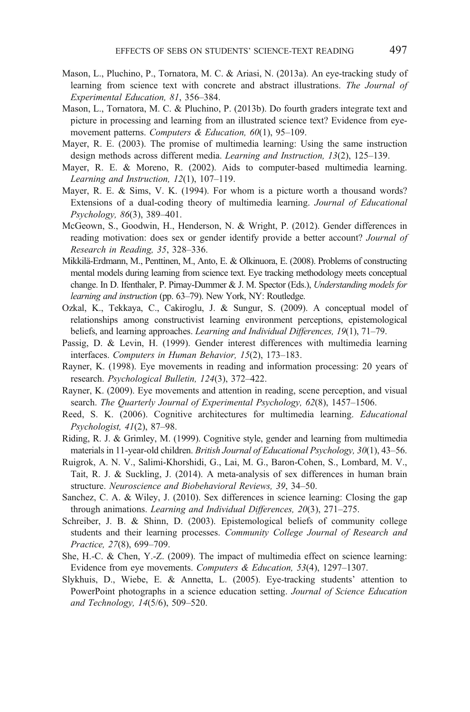- <span id="page-24-0"></span>Mason, L., Pluchino, P., Tornatora, M. C. & Ariasi, N. (2013a). An eye-tracking study of learning from science text with concrete and abstract illustrations. The Journal of Experimental Education, 81, 356–384.
- Mason, L., Tornatora, M. C. & Pluchino, P. (2013b). Do fourth graders integrate text and picture in processing and learning from an illustrated science text? Evidence from eyemovement patterns. Computers & Education, 60(1), 95-109.
- Mayer, R. E. (2003). The promise of multimedia learning: Using the same instruction design methods across different media. Learning and Instruction, 13(2), 125–139.
- Mayer, R. E. & Moreno, R. (2002). Aids to computer-based multimedia learning. Learning and Instruction, 12(1), 107–119.
- Mayer, R. E. & Sims, V. K. (1994). For whom is a picture worth a thousand words? Extensions of a dual-coding theory of multimedia learning. Journal of Educational Psychology, 86(3), 389–401.
- McGeown, S., Goodwin, H., Henderson, N. & Wright, P. (2012). Gender differences in reading motivation: does sex or gender identify provide a better account? Journal of Research in Reading, 35, 328–336.
- Mikkilä-Erdmann, M., Penttinen, M., Anto, E. & Olkinuora, E. (2008). Problems of constructing mental models during learning from science text. Eye tracking methodology meets conceptual change. In D. Ifenthaler, P. Pirnay-Dummer & J. M. Spector (Eds.), Understanding models for learning and instruction (pp. 63–79). New York, NY: Routledge.
- Ozkal, K., Tekkaya, C., Cakiroglu, J. & Sungur, S. (2009). A conceptual model of relationships among constructivist learning environment perceptions, epistemological beliefs, and learning approaches. *Learning and Individual Differences*, 19(1), 71–79.
- Passig, D. & Levin, H. (1999). Gender interest differences with multimedia learning interfaces. Computers in Human Behavior, 15(2), 173–183.
- Rayner, K. (1998). Eye movements in reading and information processing: 20 years of research. Psychological Bulletin, 124(3), 372–422.
- Rayner, K. (2009). Eye movements and attention in reading, scene perception, and visual search. The Quarterly Journal of Experimental Psychology, 62(8), 1457–1506.
- Reed, S. K. (2006). Cognitive architectures for multimedia learning. *Educational* Psychologist, 41(2), 87–98.
- Riding, R. J. & Grimley, M. (1999). Cognitive style, gender and learning from multimedia materials in 11-year-old children. British Journal of Educational Psychology, 30(1), 43–56.
- Ruigrok, A. N. V., Salimi-Khorshidi, G., Lai, M. G., Baron-Cohen, S., Lombard, M. V., Tait, R. J. & Suckling, J. (2014). A meta-analysis of sex differences in human brain structure. Neuroscience and Biobehavioral Reviews, 39, 34–50.
- Sanchez, C. A. & Wiley, J. (2010). Sex differences in science learning: Closing the gap through animations. Learning and Individual Differences, 20(3), 271–275.
- Schreiber, J. B. & Shinn, D. (2003). Epistemological beliefs of community college students and their learning processes. Community College Journal of Research and Practice, 27(8), 699–709.
- She, H.-C. & Chen, Y.-Z. (2009). The impact of multimedia effect on science learning: Evidence from eye movements. Computers & Education, 53(4), 1297–1307.
- Slykhuis, D., Wiebe, E. & Annetta, L. (2005). Eye-tracking students' attention to PowerPoint photographs in a science education setting. Journal of Science Education and Technology, 14(5/6), 509–520.